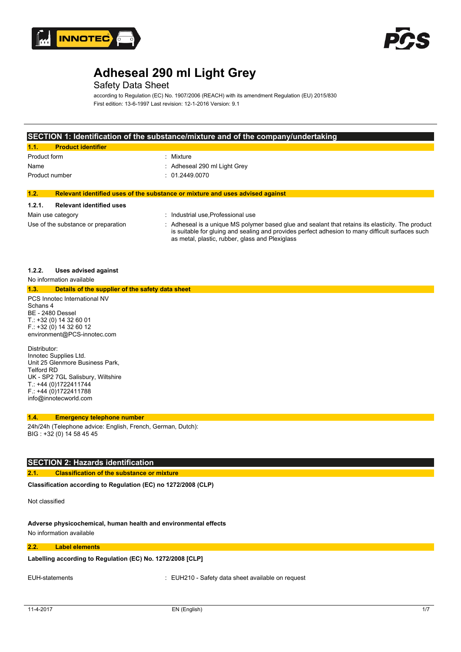



## Safety Data Sheet

according to Regulation (EC) No. 1907/2006 (REACH) with its amendment Regulation (EU) 2015/830 First edition: 13-6-1997 Last revision: 12-1-2016 Version: 9.1

### **SECTION 1: Identification of the substance/mixture and of the company/undertaking**

| <b>Product identifier</b><br>$\blacksquare$ |                              |
|---------------------------------------------|------------------------------|
| Product form                                | : Mixture                    |
| Name                                        | : Adheseal 290 ml Light Grey |
| Product number                              | : 01.2449.0070               |
|                                             |                              |

#### **1.2. Relevant identified uses of the substance or mixture and uses advised against**

#### **1.2.1. Relevant identified uses**

| -------                             |                                                                                                                                                                                                                                                        |
|-------------------------------------|--------------------------------------------------------------------------------------------------------------------------------------------------------------------------------------------------------------------------------------------------------|
| Main use category                   | Industrial use Professional use                                                                                                                                                                                                                        |
| Use of the substance or preparation | Adheseal is a unique MS polymer based glue and sealant that retains its elasticity. The product<br>is suitable for gluing and sealing and provides perfect adhesion to many difficult surfaces such<br>as metal, plastic, rubber, glass and Plexiglass |

#### **1.2.2. Uses advised against**

No information available

F.: +44 (0)1722411788 info@innotecworld.com

| 1.3.         | Details of the supplier of the safety data sheet |
|--------------|--------------------------------------------------|
|              | PCS Innotec International NV                     |
| Schans 4     |                                                  |
|              | BE - 2480 Dessel                                 |
|              | $T: +32(0)14326001$                              |
|              | $F$ : +32 (0) 14 32 60 12                        |
|              | environment@PCS-innotec.com                      |
| Distributor: |                                                  |
|              | Innotec Supplies Ltd.                            |
|              | Unit 25 Glenmore Business Park,                  |
| Telford RD   |                                                  |
|              | UK - SP2 7GL Salisbury, Wiltshire                |
|              | T: +44 (0)1722411744                             |

#### **1.4. Emergency telephone number**

24h/24h (Telephone advice: English, French, German, Dutch): BIG : +32 (0) 14 58 45 45

#### **SECTION 2: Hazards identification**

#### **2.1. Classification of the substance or mixture**

Classification according to Regulation (EC) no 1272/2008 (CLP)

Not classified

## **Adverse physicochemical, human health and environmental effects**

No information available

### **2.2. Label elements**

**Labelling according to** Regulation (EC) No. 1272/2008 [CLP]

EUH-statements : EUH210 - Safety data sheet available on request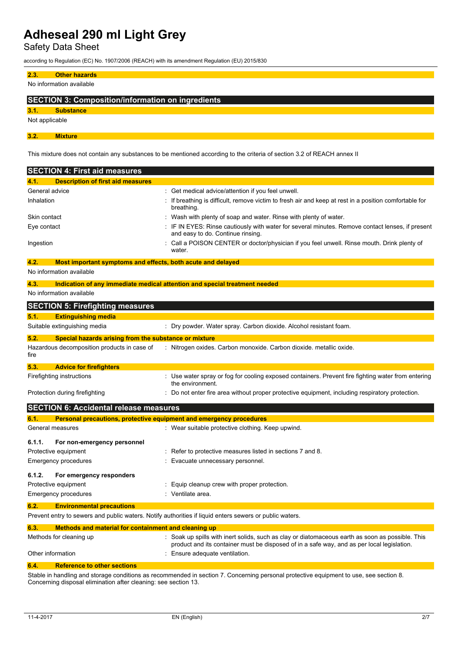Safety Data Sheet

according to Regulation (EC) No. 1907/2006 (REACH) with its amendment Regulation (EU) 2015/830

### **2.3. Other hazards**

No information available

### **SECTION 3: Composition/information on ingredients**

**3.1. Substance**

Not applicable

**3.2. Mixture**

This mixture does not contain any substances to be mentioned according to the criteria of section 3.2 of REACH annex II

| <b>SECTION 4: First aid measures</b>                                |                                                                                                                                                                                              |
|---------------------------------------------------------------------|----------------------------------------------------------------------------------------------------------------------------------------------------------------------------------------------|
| 4.1.<br><b>Description of first aid measures</b>                    |                                                                                                                                                                                              |
| General advice                                                      | Get medical advice/attention if you feel unwell.                                                                                                                                             |
| Inhalation                                                          | If breathing is difficult, remove victim to fresh air and keep at rest in a position comfortable for<br>breathing.                                                                           |
| Skin contact                                                        | Wash with plenty of soap and water. Rinse with plenty of water.                                                                                                                              |
| Eye contact                                                         | IF IN EYES: Rinse cautiously with water for several minutes. Remove contact lenses, if present<br>and easy to do. Continue rinsing.                                                          |
| Ingestion                                                           | Call a POISON CENTER or doctor/physician if you feel unwell. Rinse mouth. Drink plenty of<br>water.                                                                                          |
| 4.2.<br>Most important symptoms and effects, both acute and delayed |                                                                                                                                                                                              |
| No information available                                            |                                                                                                                                                                                              |
| 4.3.                                                                | Indication of any immediate medical attention and special treatment needed                                                                                                                   |
| No information available                                            |                                                                                                                                                                                              |
| <b>SECTION 5: Firefighting measures</b>                             |                                                                                                                                                                                              |
| <b>Extinguishing media</b><br>5.1.                                  |                                                                                                                                                                                              |
| Suitable extinguishing media                                        | : Dry powder. Water spray. Carbon dioxide. Alcohol resistant foam.                                                                                                                           |
| Special hazards arising from the substance or mixture<br>5.2.       |                                                                                                                                                                                              |
| Hazardous decomposition products in case of<br>fire                 | : Nitrogen oxides. Carbon monoxide. Carbon dioxide. metallic oxide.                                                                                                                          |
| 5.3.<br><b>Advice for firefighters</b>                              |                                                                                                                                                                                              |
| Firefighting instructions                                           | : Use water spray or fog for cooling exposed containers. Prevent fire fighting water from entering<br>the environment.                                                                       |
| Protection during firefighting                                      | : Do not enter fire area without proper protective equipment, including respiratory protection.                                                                                              |
| <b>SECTION 6: Accidental release measures</b>                       |                                                                                                                                                                                              |
| 6.1.                                                                | Personal precautions, protective equipment and emergency procedures                                                                                                                          |
| General measures                                                    | : Wear suitable protective clothing. Keep upwind.                                                                                                                                            |
| 6.1.1.<br>For non-emergency personnel                               |                                                                                                                                                                                              |
| Protective equipment                                                | : Refer to protective measures listed in sections 7 and 8.                                                                                                                                   |
| Emergency procedures                                                | Evacuate unnecessary personnel.                                                                                                                                                              |
| 6.1.2.<br>For emergency responders                                  |                                                                                                                                                                                              |
| Protective equipment                                                | Equip cleanup crew with proper protection.                                                                                                                                                   |
| Emergency procedures                                                | Ventilate area.                                                                                                                                                                              |
| <b>Environmental precautions</b><br>6.2.                            |                                                                                                                                                                                              |
|                                                                     | Prevent entry to sewers and public waters. Notify authorities if liquid enters sewers or public waters.                                                                                      |
| Methods and material for containment and cleaning up<br>6.3.        |                                                                                                                                                                                              |
| Methods for cleaning up                                             | Soak up spills with inert solids, such as clay or diatomaceous earth as soon as possible. This<br>product and its container must be disposed of in a safe way, and as per local legislation. |
| Other information                                                   | Ensure adequate ventilation.                                                                                                                                                                 |
| <b>Reference to other sections</b><br>6.4.                          |                                                                                                                                                                                              |

Stable in handling and storage conditions as recommended in section 7. Concerning personal protective equipment to use, see section 8. Concerning disposal elimination after cleaning: see section 13.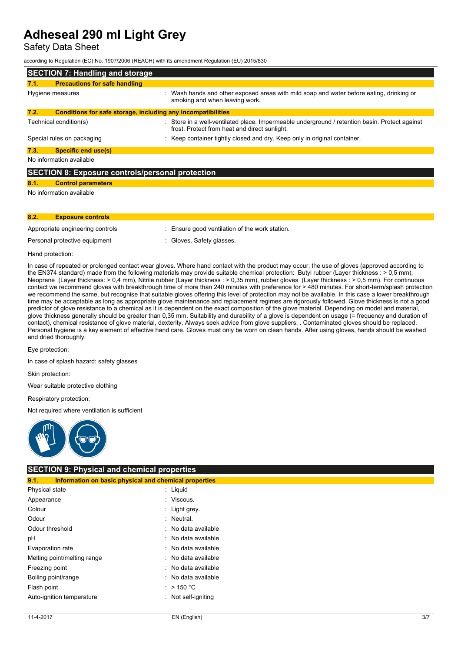Safety Data Sheet

according to Regulation (EC) No. 1907/2006 (REACH) with its amendment Regulation (EU) 2015/830

| <b>SECTION 7: Handling and storage</b>                  |                                                              |                                                                                                                                                 |
|---------------------------------------------------------|--------------------------------------------------------------|-------------------------------------------------------------------------------------------------------------------------------------------------|
| 7.1.                                                    | <b>Precautions for safe handling</b>                         |                                                                                                                                                 |
|                                                         | Hygiene measures                                             | : Wash hands and other exposed areas with mild soap and water before eating, drinking or<br>smoking and when leaving work.                      |
| 7.2.                                                    | Conditions for safe storage, including any incompatibilities |                                                                                                                                                 |
|                                                         | Technical condition(s)                                       | : Store in a well-ventilated place. Impermeable underground / retention basin. Protect against<br>frost. Protect from heat and direct sunlight. |
|                                                         | Special rules on packaging                                   | Keep container tightly closed and dry. Keep only in original container.                                                                         |
| 7.3.                                                    | <b>Specific end use(s)</b>                                   |                                                                                                                                                 |
| No information available                                |                                                              |                                                                                                                                                 |
| <b>SECTION 8: Exposure controls/personal protection</b> |                                                              |                                                                                                                                                 |
| 8.1.                                                    | <b>Control parameters</b>                                    |                                                                                                                                                 |
| No information available                                |                                                              |                                                                                                                                                 |
|                                                         |                                                              |                                                                                                                                                 |
|                                                         |                                                              |                                                                                                                                                 |

### **8.2. Exposure controls**

Appropriate engineering controls : Ensure good ventilation of the work station.

Personal protective equipment : Gloves. Safety glasses.

Hand protection:

In case of repeated or prolonged contact wear gloves. Where hand contact with the product may occur, the use of gloves (approved according to the EN374 standard) made from the following materials may provide suitable chemical protection: Butyl rubber (Layer thickness : > 0,5 mm), Neoprene (Layer thickness: > 0,4 mm), Nitrile rubber (Layer thickness : > 0,35 mm), rubber gloves (Layer thickness : > 0,5 mm). For continuous contact we recommend gloves with breakthrough time of more than 240 minutes with preference for > 480 minutes. For short-term/splash protection we recommend the same, but recognise that suitable gloves offering this level of protection may not be available. In this case a lower breakthrough time may be acceptable as long as appropriate glove maintenance and replacement regimes are rigorously followed. Glove thickness is not a good predictor of glove resistance to a chemical as it is dependent on the exact composition of the glove material. Depending on model and material, glove thickness generally should be greater than 0,35 mm. Suitability and durability of a glove is dependent on usage (= frequency and duration of contact), chemical resistance of glove material, dexterity. Always seek advice from glove suppliers. . Contaminated gloves should be replaced. Personal hygiene is a key element of effective hand care. Gloves must only be worn on clean hands. After using gloves, hands should be washed and dried thoroughly.

Eye protection:

In case of splash hazard: safety glasses

Skin protection:

Wear suitable protective clothing

Respiratory protection:

Not required where ventilation is sufficient



#### **SECTION 9: Physical and chemical properties 9.1. Information on basic physical and chemical properties**

|                             | <u>mitermation on basic physical and chemical properties</u> |
|-----------------------------|--------------------------------------------------------------|
| Physical state              | : Liguid                                                     |
| Appearance                  | : Viscous.                                                   |
| Colour                      | : Light grey.                                                |
| Odour                       | Neutral.                                                     |
| Odour threshold             | : No data available                                          |
| рH                          | : No data available                                          |
| Evaporation rate            | : No data available                                          |
| Melting point/melting range | : No data available                                          |
| Freezing point              | : No data available                                          |
| Boiling point/range         | : No data available                                          |
| Flash point                 | : > 150 °C                                                   |
| Auto-ignition temperature   | Not self-igniting                                            |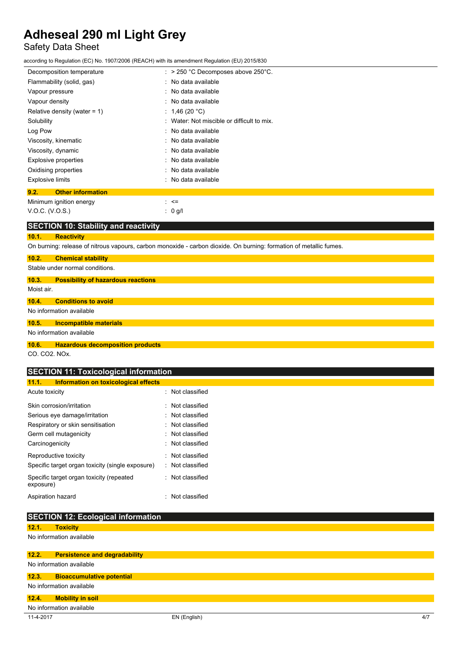## Safety Data Sheet

according to Regulation (EC) No. 1907/2006 (REACH) with its amendment Regulation (EU) 2015/830

| Decomposition temperature        | $\therefore$ > 250 °C Decomposes above 250°C. |
|----------------------------------|-----------------------------------------------|
| Flammability (solid, gas)        | : No data available                           |
| Vapour pressure                  | : No data available                           |
| Vapour density                   | : No data available                           |
| Relative density (water = $1$ )  | : 1,46 (20 °C)                                |
| Solubility                       | : Water: Not miscible or difficult to mix.    |
| Log Pow                          | : No data available                           |
| Viscosity, kinematic             | : No data available                           |
| Viscosity, dynamic               | : No data available                           |
| Explosive properties             | : No data available                           |
| Oxidising properties             | : No data available                           |
| <b>Explosive limits</b>          | : No data available                           |
| 9.2.<br><b>Other information</b> |                                               |
| Minimum innition energy          | <=                                            |

n energy<br> V.O.C. (V.O.S.) : 0 g/l

|       | <b>SECTION 10: Stability and reactivity</b> |
|-------|---------------------------------------------|
| 10.1. | <b>Reactivity</b>                           |

On burning: release of nitrous vapours, carbon monoxide - carbon dioxide. On burning: formation of metallic fumes.

| 10.2.                              | <b>Chemical stability</b>                 |
|------------------------------------|-------------------------------------------|
|                                    | Stable under normal conditions.           |
| 10.3.                              | <b>Possibility of hazardous reactions</b> |
| Moist air.                         |                                           |
| 10.4.                              | <b>Conditions to avoid</b>                |
|                                    | No information available                  |
| 10.5.                              | <b>Incompatible materials</b>             |
|                                    | No information available                  |
| 10.6.                              | <b>Hazardous decomposition products</b>   |
| $\sim$ $\sim$ $\sim$ $\sim$ $\sim$ |                                           |

CO. CO2. NOx.

## **SECTION 11: Toxicological information**

| 11.1.<br><b>Information on toxicological effects</b>  |  |                  |
|-------------------------------------------------------|--|------------------|
| Acute toxicity                                        |  | · Not classified |
| Skin corrosion/irritation                             |  | · Not classified |
| Serious eye damage/irritation                         |  | Not classified   |
| Respiratory or skin sensitisation                     |  | Not classified   |
| Germ cell mutagenicity                                |  | : Not classified |
| Carcinogenicity                                       |  | · Not classified |
| Reproductive toxicity                                 |  | · Not classified |
| Specific target organ toxicity (single exposure)      |  | · Not classified |
| Specific target organ toxicity (repeated<br>exposure) |  | Not classified   |
| Aspiration hazard                                     |  | Not classified   |

|       | <b>SECTION 12: Ecological information</b> |
|-------|-------------------------------------------|
| 12.1. | <b>Toxicity</b>                           |
|       | No information available                  |
|       |                                           |
| 12.2. | <b>Persistence and degradability</b>      |
|       | No information available                  |
| 12.3. | <b>Bioaccumulative potential</b>          |
|       | No information available                  |
| 12.4. |                                           |
|       | <b>Mobility in soil</b>                   |
|       | No information available                  |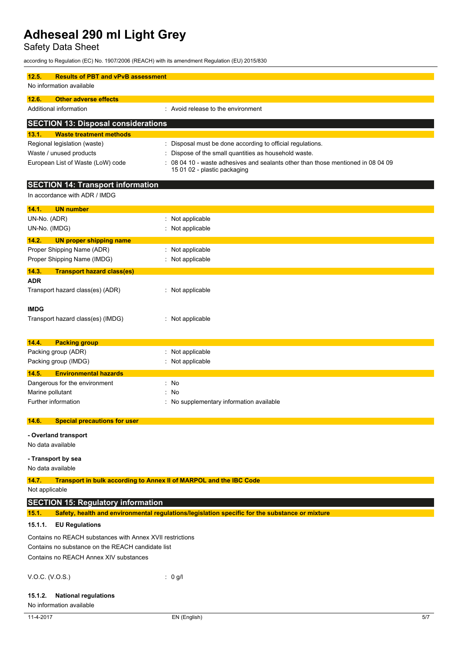Safety Data Sheet

according to Regulation (EC) No. 1907/2006 (REACH) with its amendment Regulation (EU) 2015/830

| 12.5.<br><b>Results of PBT and vPvB assessment</b>                                                             |                                                                                                                |  |
|----------------------------------------------------------------------------------------------------------------|----------------------------------------------------------------------------------------------------------------|--|
| No information available                                                                                       |                                                                                                                |  |
| 12.6.<br><b>Other adverse effects</b>                                                                          |                                                                                                                |  |
| Additional information                                                                                         | : Avoid release to the environment                                                                             |  |
| <b>SECTION 13: Disposal considerations</b>                                                                     |                                                                                                                |  |
| 13.1.<br><b>Waste treatment methods</b>                                                                        |                                                                                                                |  |
| Regional legislation (waste)                                                                                   | Disposal must be done according to official regulations.                                                       |  |
| Waste / unused products                                                                                        | Dispose of the small quantities as household waste.                                                            |  |
| European List of Waste (LoW) code                                                                              | 08 04 10 - waste adhesives and sealants other than those mentioned in 08 04 09<br>15 01 02 - plastic packaging |  |
| <b>SECTION 14: Transport information</b>                                                                       |                                                                                                                |  |
| In accordance with ADR / IMDG                                                                                  |                                                                                                                |  |
| 14.1.<br><b>UN number</b>                                                                                      |                                                                                                                |  |
| UN-No. (ADR)                                                                                                   | : Not applicable                                                                                               |  |
| UN-No. (IMDG)                                                                                                  | Not applicable                                                                                                 |  |
| 14.2.<br><b>UN proper shipping name</b>                                                                        |                                                                                                                |  |
| Proper Shipping Name (ADR)                                                                                     | : Not applicable                                                                                               |  |
| Proper Shipping Name (IMDG)                                                                                    | : Not applicable                                                                                               |  |
| 14.3.<br><b>Transport hazard class(es)</b>                                                                     |                                                                                                                |  |
| <b>ADR</b><br>Transport hazard class(es) (ADR)                                                                 | : Not applicable                                                                                               |  |
|                                                                                                                |                                                                                                                |  |
| <b>IMDG</b>                                                                                                    |                                                                                                                |  |
| Transport hazard class(es) (IMDG)                                                                              | : Not applicable                                                                                               |  |
|                                                                                                                |                                                                                                                |  |
| 14.4.<br><b>Packing group</b>                                                                                  |                                                                                                                |  |
| Packing group (ADR)                                                                                            | : Not applicable                                                                                               |  |
| Packing group (IMDG)                                                                                           | : Not applicable                                                                                               |  |
| <b>Environmental hazards</b><br>14.5.                                                                          |                                                                                                                |  |
| Dangerous for the environment                                                                                  | : No                                                                                                           |  |
| Marine pollutant                                                                                               | No                                                                                                             |  |
| Further information                                                                                            | No supplementary information available                                                                         |  |
| <b>Special precautions for user</b><br>14.6.                                                                   |                                                                                                                |  |
| - Overland transport                                                                                           |                                                                                                                |  |
| No data available                                                                                              |                                                                                                                |  |
| - Transport by sea                                                                                             |                                                                                                                |  |
| No data available                                                                                              |                                                                                                                |  |
| 14.7.<br>Transport in bulk according to Annex II of MARPOL and the IBC Code                                    |                                                                                                                |  |
| Not applicable                                                                                                 |                                                                                                                |  |
| <b>SECTION 15: Regulatory information</b>                                                                      |                                                                                                                |  |
| 15.1.<br>15.1.1.<br><b>EU Regulations</b>                                                                      | Safety, health and environmental regulations/legislation specific for the substance or mixture                 |  |
|                                                                                                                |                                                                                                                |  |
| Contains no REACH substances with Annex XVII restrictions<br>Contains no substance on the REACH candidate list |                                                                                                                |  |
| Contains no REACH Annex XIV substances                                                                         |                                                                                                                |  |
|                                                                                                                |                                                                                                                |  |
| V.O.C. (V.O.S.)                                                                                                | : $0$ g/l                                                                                                      |  |
| 15.1.2.<br><b>National regulations</b><br>No information available                                             |                                                                                                                |  |
|                                                                                                                |                                                                                                                |  |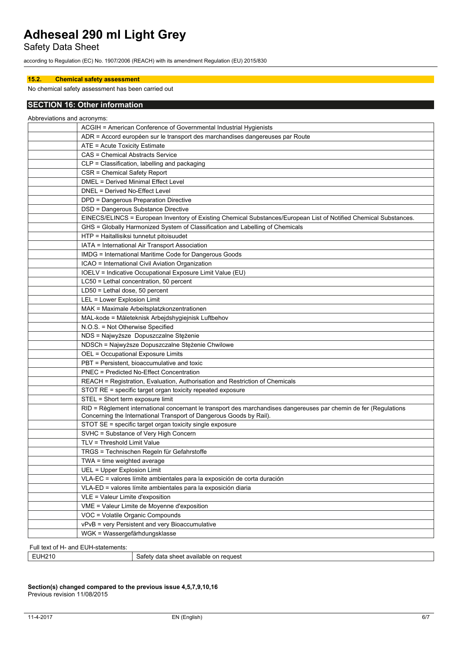Safety Data Sheet

according to Regulation (EC) No. 1907/2006 (REACH) with its amendment Regulation (EU) 2015/830

### **15.2. Chemical safety assessment**

### No chemical safety assessment has been carried out

# **SECTION 16: Other information**

| Abbreviations and acronyms: |                                                                                                                                                                                          |
|-----------------------------|------------------------------------------------------------------------------------------------------------------------------------------------------------------------------------------|
|                             | ACGIH = American Conference of Governmental Industrial Hygienists                                                                                                                        |
|                             | ADR = Accord européen sur le transport des marchandises dangereuses par Route                                                                                                            |
|                             | ATE = Acute Toxicity Estimate                                                                                                                                                            |
|                             | <b>CAS = Chemical Abstracts Service</b>                                                                                                                                                  |
|                             | CLP = Classification, labelling and packaging                                                                                                                                            |
|                             | CSR = Chemical Safety Report                                                                                                                                                             |
|                             | DMEL = Derived Minimal Effect Level                                                                                                                                                      |
|                             | DNEL = Derived No-Effect Level                                                                                                                                                           |
|                             | DPD = Dangerous Preparation Directive                                                                                                                                                    |
|                             | DSD = Dangerous Substance Directive                                                                                                                                                      |
|                             | EINECS/ELINCS = European Inventory of Existing Chemical Substances/European List of Notified Chemical Substances.                                                                        |
|                             | GHS = Globally Harmonized System of Classification and Labelling of Chemicals                                                                                                            |
|                             | HTP = Haitallisiksi tunnetut pitoisuudet                                                                                                                                                 |
|                             | IATA = International Air Transport Association                                                                                                                                           |
|                             | IMDG = International Maritime Code for Dangerous Goods                                                                                                                                   |
|                             | ICAO = International Civil Aviation Organization                                                                                                                                         |
|                             | IOELV = Indicative Occupational Exposure Limit Value (EU)                                                                                                                                |
|                             | LC50 = Lethal concentration, 50 percent                                                                                                                                                  |
|                             | LD50 = Lethal dose, 50 percent                                                                                                                                                           |
|                             | LEL = Lower Explosion Limit                                                                                                                                                              |
|                             | MAK = Maximale Arbeitsplatzkonzentrationen                                                                                                                                               |
|                             | MAL-kode = Måleteknisk Arbejdshygiejnisk Luftbehov                                                                                                                                       |
|                             | N.O.S. = Not Otherwise Specified                                                                                                                                                         |
|                             | NDS = Najwyższe Dopuszczalne Stężenie                                                                                                                                                    |
|                             | NDSCh = Najwyższe Dopuszczalne Stężenie Chwilowe                                                                                                                                         |
|                             | OEL = Occupational Exposure Limits                                                                                                                                                       |
|                             | PBT = Persistent, bioaccumulative and toxic                                                                                                                                              |
|                             | <b>PNEC = Predicted No-Effect Concentration</b>                                                                                                                                          |
|                             | REACH = Registration, Evaluation, Authorisation and Restriction of Chemicals                                                                                                             |
|                             | STOT RE = specific target organ toxicity repeated exposure                                                                                                                               |
|                             | STEL = Short term exposure limit                                                                                                                                                         |
|                             | RID = Règlement international concernant le transport des marchandises dangereuses par chemin de fer (Regulations<br>Concerning the International Transport of Dangerous Goods by Rail). |
|                             | STOT SE = specific target organ toxicity single exposure                                                                                                                                 |
|                             | SVHC = Substance of Very High Concern                                                                                                                                                    |
|                             | TLV = Threshold Limit Value                                                                                                                                                              |
|                             | TRGS = Technischen Regeln für Gefahrstoffe                                                                                                                                               |
|                             | TWA = time weighted average                                                                                                                                                              |
|                             | UEL = Upper Explosion Limit                                                                                                                                                              |
|                             | VLA-EC = valores límite ambientales para la exposición de corta duración                                                                                                                 |
|                             | VLA-ED = valores límite ambientales para la exposición diaria                                                                                                                            |
|                             | VLE = Valeur Limite d'exposition                                                                                                                                                         |
|                             | VME = Valeur Limite de Moyenne d'exposition                                                                                                                                              |
|                             | VOC = Volatile Organic Compounds                                                                                                                                                         |
|                             | vPvB = very Persistent and very Bioaccumulative                                                                                                                                          |
|                             | WGK = Wassergefärhdungsklasse                                                                                                                                                            |
|                             |                                                                                                                                                                                          |

Full text of H- and EUH-statements:

| ≟UH2′<br>reguest<br><sup>+</sup> available<br>: or<br>Satety<br>ີ<br>on.<br>$\sim$<br>51 IC *<br>$\cdot$ iai $\sim$<br>$\ddotsc$<br>. .<br>__ |
|-----------------------------------------------------------------------------------------------------------------------------------------------|
|-----------------------------------------------------------------------------------------------------------------------------------------------|

#### **Section(s) changed compared to the previous issue 4,5,7,9,10,16** Previous revision 11/08/2015